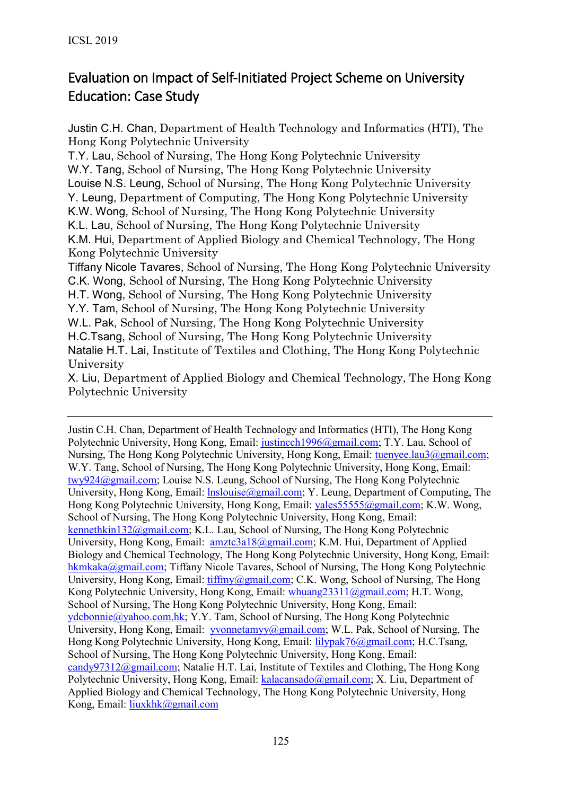# Evaluation on Impact of Self-Initiated Project Scheme on University Education: Case Study

Justin C.H. Chan, Department of Health Technology and Informatics (HTI), The Hong Kong Polytechnic University

T.Y. Lau, School of Nursing, The Hong Kong Polytechnic University W.Y. Tang, School of Nursing, The Hong Kong Polytechnic University Louise N.S. Leung, School of Nursing, The Hong Kong Polytechnic University Y. Leung, Department of Computing, The Hong Kong Polytechnic University K.W. Wong, School of Nursing, The Hong Kong Polytechnic University K.L. Lau, School of Nursing, The Hong Kong Polytechnic University K.M. Hui, Department of Applied Biology and Chemical Technology, The Hong Kong Polytechnic University Tiffany Nicole Tavares, School of Nursing, The Hong Kong Polytechnic University C.K. Wong, School of Nursing, The Hong Kong Polytechnic University H.T. Wong, School of Nursing, The Hong Kong Polytechnic University Y.Y. Tam, School of Nursing, The Hong Kong Polytechnic University

W.L. Pak, School of Nursing, The Hong Kong Polytechnic University

H.C.Tsang, School of Nursing, The Hong Kong Polytechnic University

Natalie H.T. Lai, Institute of Textiles and Clothing, The Hong Kong Polytechnic University

X. Liu, Department of Applied Biology and Chemical Technology, The Hong Kong Polytechnic University

Justin C.H. Chan, Department of Health Technology and Informatics (HTI), The Hong Kong Polytechnic University, Hong Kong, Email: [justincch1996@gmail.com;](mailto:justincch1996@gmail.com) T.Y. Lau, School of Nursing, The Hong Kong Polytechnic University, Hong Kong, Email: [tuenyee.lau3@gmail.com;](mailto:tuenyee.lau3@gmail.com) W.Y. Tang, School of Nursing, The Hong Kong Polytechnic University, Hong Kong, Email: [twy924@gmail.com;](mailto:twy924@gmail.com) Louise N.S. Leung, School of Nursing, The Hong Kong Polytechnic University, Hong Kong, Email: *lnslouise@gmail.com*; Y. Leung, Department of Computing, The Hong Kong Polytechnic University, Hong Kong, Email: [yales55555@gmail.com;](mailto:yales55555@gmail.com) K.W. Wong, School of Nursing, The Hong Kong Polytechnic University, Hong Kong, Email: [kennethkin132@gmail.com;](mailto:kennethkin132@gmail.com) K.L. Lau, School of Nursing, The Hong Kong Polytechnic University, Hong Kong, Email: [amztc3a18@gmail.com;](mailto:amztc3a18@gmail.com) K.M. Hui, Department of Applied Biology and Chemical Technology, The Hong Kong Polytechnic University, Hong Kong, Email: [hkmkaka@gmail.com;](mailto:hkmkaka@gmail.com) Tiffany Nicole Tavares, School of Nursing, The Hong Kong Polytechnic University, Hong Kong, Email: [tiffmy@gmail.com;](mailto:tiffmy@gmail.com) C.K. Wong, School of Nursing, The Hong Kong Polytechnic University, Hong Kong, Email: [whuang23311@gmail.com;](mailto:whuang23311@gmail.com) H.T. Wong, School of Nursing, The Hong Kong Polytechnic University, Hong Kong, Email: [ydcbonnie@yahoo.com.hk;](mailto:ydcbonnie@yahoo.com.hk) Y.Y. Tam, School of Nursing, The Hong Kong Polytechnic University, Hong Kong, Email:  $yvonnetamy\langle \omega gmail.com; W.L.$  Pak, School of Nursing, The Hong Kong Polytechnic University, Hong Kong, Email: [lilypak76@gmail.com;](mailto:lilypak76@gmail.com) H.C.Tsang, School of Nursing, The Hong Kong Polytechnic University, Hong Kong, Email: [candy97312@gmail.com;](mailto:candy97312@gmail.com) Natalie H.T. Lai, Institute of Textiles and Clothing, The Hong Kong Polytechnic University, Hong Kong, Email: [kalacansado@gmail.com;](mailto:kalacansado@gmail.com) X. Liu, Department of Applied Biology and Chemical Technology, The Hong Kong Polytechnic University, Hong Kong, Email: [liuxkhk@gmail.com](mailto:liuxkhk@gmail.com)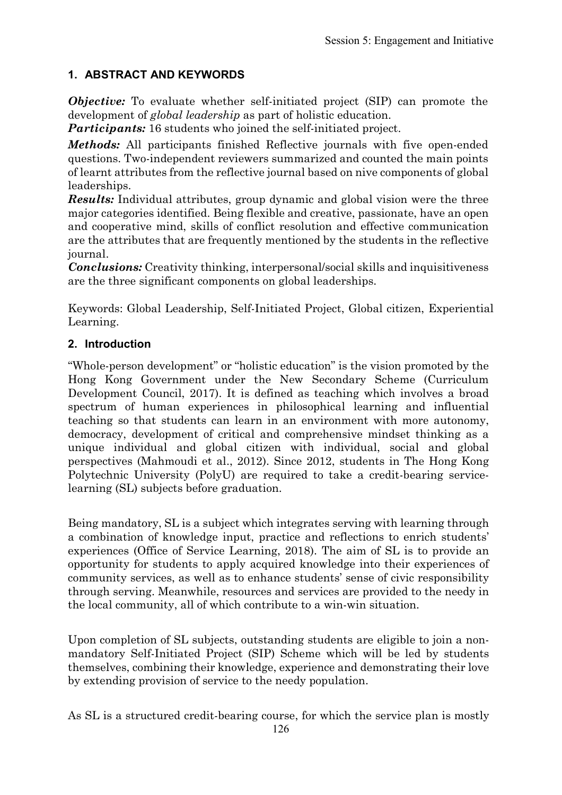# **1. ABSTRACT AND KEYWORDS**

*Objective:* To evaluate whether self-initiated project (SIP) can promote the development of *global leadership* as part of holistic education.

*Participants:* 16 students who joined the self-initiated project.

*Methods:* All participants finished Reflective journals with five open-ended questions. Two-independent reviewers summarized and counted the main points of learnt attributes from the reflective journal based on nive components of global leaderships.

*Results:* Individual attributes, group dynamic and global vision were the three major categories identified. Being flexible and creative, passionate, have an open and cooperative mind, skills of conflict resolution and effective communication are the attributes that are frequently mentioned by the students in the reflective journal.

*Conclusions:* Creativity thinking, interpersonal/social skills and inquisitiveness are the three significant components on global leaderships.

Keywords: Global Leadership, Self-Initiated Project, Global citizen, Experiential Learning.

### **2. Introduction**

"Whole-person development" or "holistic education" is the vision promoted by the Hong Kong Government under the New Secondary Scheme (Curriculum Development Council, 2017). It is defined as teaching which involves a broad spectrum of human experiences in philosophical learning and influential teaching so that students can learn in an environment with more autonomy, democracy, development of critical and comprehensive mindset thinking as a unique individual and global citizen with individual, social and global perspectives (Mahmoudi et al., 2012). Since 2012, students in The Hong Kong Polytechnic University (PolyU) are required to take a credit-bearing servicelearning (SL) subjects before graduation.

Being mandatory, SL is a subject which integrates serving with learning through a combination of knowledge input, practice and reflections to enrich students' experiences (Office of Service Learning, 2018). The aim of SL is to provide an opportunity for students to apply acquired knowledge into their experiences of community services, as well as to enhance students' sense of civic responsibility through serving. Meanwhile, resources and services are provided to the needy in the local community, all of which contribute to a win-win situation.

Upon completion of SL subjects, outstanding students are eligible to join a nonmandatory Self-Initiated Project (SIP) Scheme which will be led by students themselves, combining their knowledge, experience and demonstrating their love by extending provision of service to the needy population.

As SL is a structured credit-bearing course, for which the service plan is mostly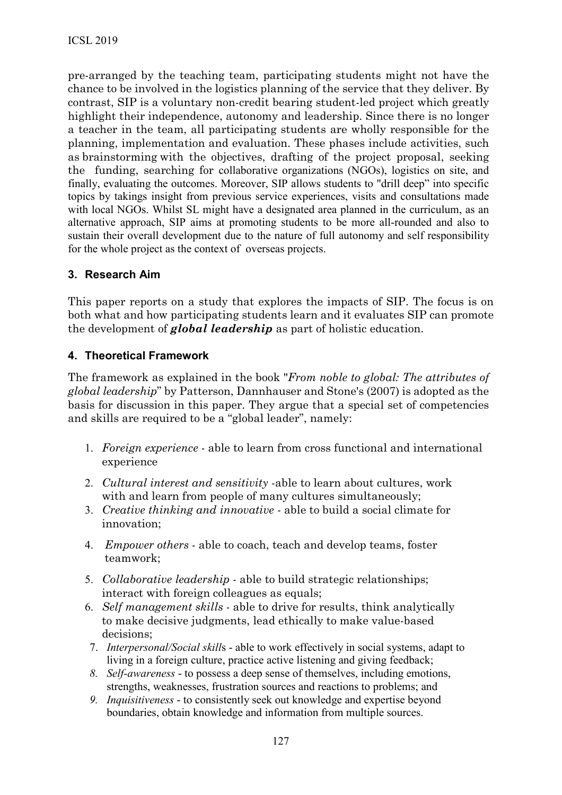pre-arranged by the teaching team, participating students might not have the chance to be involved in the logistics planning of the service that they deliver. By contrast, SIP is a voluntary non-credit bearing student-led project which greatly highlight their independence, autonomy and leadership. Since there is no longer a teacher in the team, all participating students are wholly responsible for the planning, implementation and evaluation. These phases include activities, such as brainstorming with the objectives, drafting of the project proposal, seeking the funding, searching for collaborative organizations (NGOs), logistics on site, and finally, evaluating the outcomes. Moreover, SIP allows students to "drill deep" into specific topics by takings insight from previous service experiences, visits and consultations made with local NGOs. Whilst SL might have a designated area planned in the curriculum, as an alternative approach, SIP aims at promoting students to be more all-rounded and also to sustain their overall development due to the nature of full autonomy and self responsibility for the whole project as the context of overseas projects.

#### **3. Research Aim**

This paper reports on a study that explores the impacts of SIP. The focus is on both what and how participating students learn and it evaluates SIP can promote the development of *global leadership* as part of holistic education.

#### **4. Theoretical Framework**

The framework as explained in the book "*From noble to global: The attributes of global leadership*" by Patterson, Dannhauser and Stone's (2007) is adopted as the basis for discussion in this paper. They argue that a special set of competencies and skills are required to be a "global leader", namely:

- 1. *Foreign experience*  able to learn from cross functional and international experience
- 2. *Cultural interest and sensitivity* -able to learn about cultures, work with and learn from people of many cultures simultaneously;
- 3. *Creative thinking and innovative*  able to build a social climate for innovation;
- 4. *Empower others*  able to coach, teach and develop teams, foster teamwork;
- 5. *Collaborative leadership*  able to build strategic relationships; interact with foreign colleagues as equals;
- 6. *Self management skills*  able to drive for results, think analytically to make decisive judgments, lead ethically to make value-based decisions;
- 7. *Interpersonal/Social skill*s able to work effectively in social systems, adapt to living in a foreign culture, practice active listening and giving feedback;
- *8. Self-awareness*  to possess a deep sense of themselves, including emotions, strengths, weaknesses, frustration sources and reactions to problems; and
- *9. Inquisitiveness*  to consistently seek out knowledge and expertise beyond boundaries, obtain knowledge and information from multiple sources.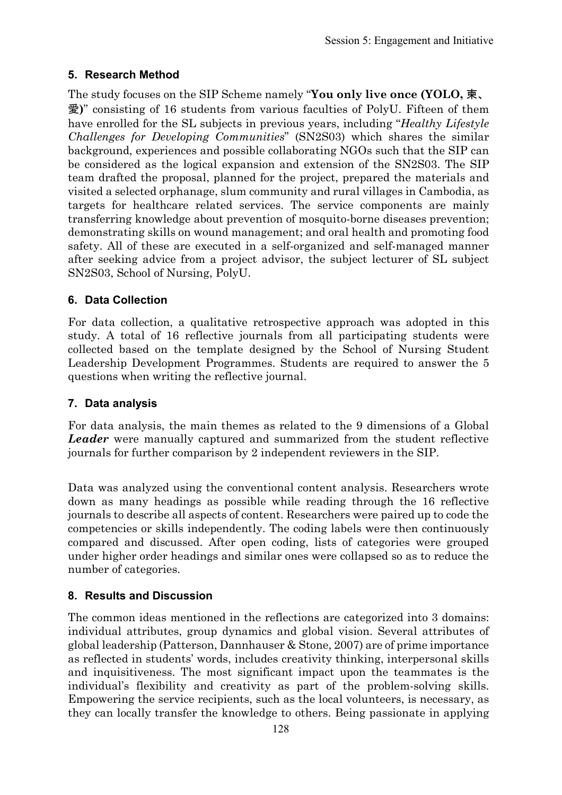# **5. Research Method**

The study focuses on the SIP Scheme namely "**You only live once (YOLO,** 柬、 愛**)**" consisting of 16 students from various faculties of PolyU. Fifteen of them have enrolled for the SL subjects in previous years, including "*Healthy Lifestyle Challenges for Developing Communities*" (SN2S03) which shares the similar background, experiences and possible collaborating NGOs such that the SIP can be considered as the logical expansion and extension of the SN2S03. The SIP team drafted the proposal, planned for the project, prepared the materials and visited a selected orphanage, slum community and rural villages in Cambodia, as targets for healthcare related services. The service components are mainly transferring knowledge about prevention of mosquito-borne diseases prevention; demonstrating skills on wound management; and oral health and promoting food safety. All of these are executed in a self-organized and self-managed manner after seeking advice from a project advisor, the subject lecturer of SL subject SN2S03, School of Nursing, PolyU.

# **6. Data Collection**

For data collection, a qualitative retrospective approach was adopted in this study. A total of 16 reflective journals from all participating students were collected based on the template designed by the School of Nursing Student Leadership Development Programmes. Students are required to answer the 5 questions when writing the reflective journal.

# **7. Data analysis**

For data analysis, the main themes as related to the 9 dimensions of a Global *Leader* were manually captured and summarized from the student reflective journals for further comparison by 2 independent reviewers in the SIP.

Data was analyzed using the conventional content analysis. Researchers wrote down as many headings as possible while reading through the 16 reflective journals to describe all aspects of content. Researchers were paired up to code the competencies or skills independently. The coding labels were then continuously compared and discussed. After open coding, lists of categories were grouped under higher order headings and similar ones were collapsed so as to reduce the number of categories.

# **8. Results and Discussion**

The common ideas mentioned in the reflections are categorized into 3 domains: individual attributes, group dynamics and global vision. Several attributes of global leadership (Patterson, Dannhauser & Stone, 2007) are of prime importance as reflected in students' words, includes creativity thinking, interpersonal skills and inquisitiveness. The most significant impact upon the teammates is the individual's flexibility and creativity as part of the problem-solving skills. Empowering the service recipients, such as the local volunteers, is necessary, as they can locally transfer the knowledge to others. Being passionate in applying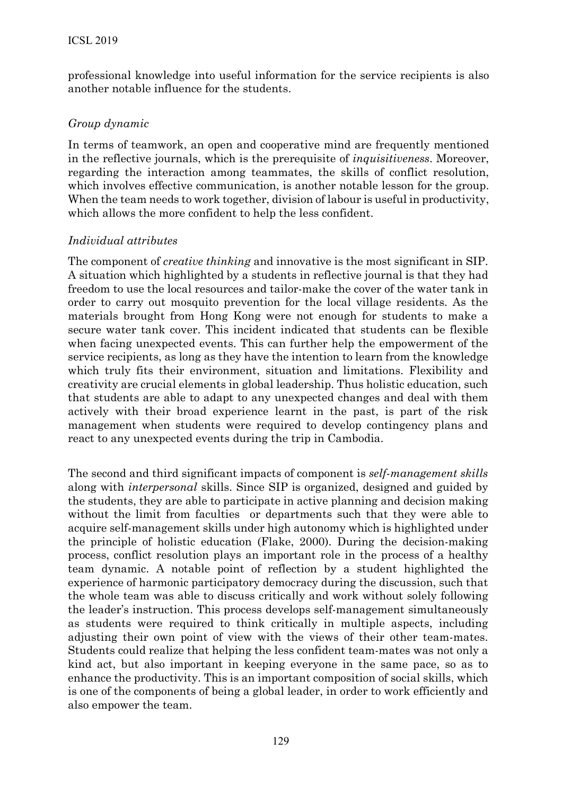professional knowledge into useful information for the service recipients is also another notable influence for the students.

### *Group dynamic*

In terms of teamwork, an open and cooperative mind are frequently mentioned in the reflective journals, which is the prerequisite of *inquisitiveness*. Moreover, regarding the interaction among teammates, the skills of conflict resolution, which involves effective communication, is another notable lesson for the group. When the team needs to work together, division of labour is useful in productivity, which allows the more confident to help the less confident.

### *Individual attributes*

The component of *creative thinking* and innovative is the most significant in SIP. A situation which highlighted by a students in reflective journal is that they had freedom to use the local resources and tailor-make the cover of the water tank in order to carry out mosquito prevention for the local village residents. As the materials brought from Hong Kong were not enough for students to make a secure water tank cover. This incident indicated that students can be flexible when facing unexpected events. This can further help the empowerment of the service recipients, as long as they have the intention to learn from the knowledge which truly fits their environment, situation and limitations. Flexibility and creativity are crucial elements in global leadership. Thus holistic education, such that students are able to adapt to any unexpected changes and deal with them actively with their broad experience learnt in the past, is part of the risk management when students were required to develop contingency plans and react to any unexpected events during the trip in Cambodia.

The second and third significant impacts of component is *self-management skills*  along with *interpersonal* skills. Since SIP is organized, designed and guided by the students, they are able to participate in active planning and decision making without the limit from faculties or departments such that they were able to acquire self-management skills under high autonomy which is highlighted under the principle of holistic education (Flake, 2000). During the decision-making process, conflict resolution plays an important role in the process of a healthy team dynamic. A notable point of reflection by a student highlighted the experience of harmonic participatory democracy during the discussion, such that the whole team was able to discuss critically and work without solely following the leader's instruction. This process develops self-management simultaneously as students were required to think critically in multiple aspects, including adjusting their own point of view with the views of their other team-mates. Students could realize that helping the less confident team-mates was not only a kind act, but also important in keeping everyone in the same pace, so as to enhance the productivity. This is an important composition of social skills, which is one of the components of being a global leader, in order to work efficiently and also empower the team.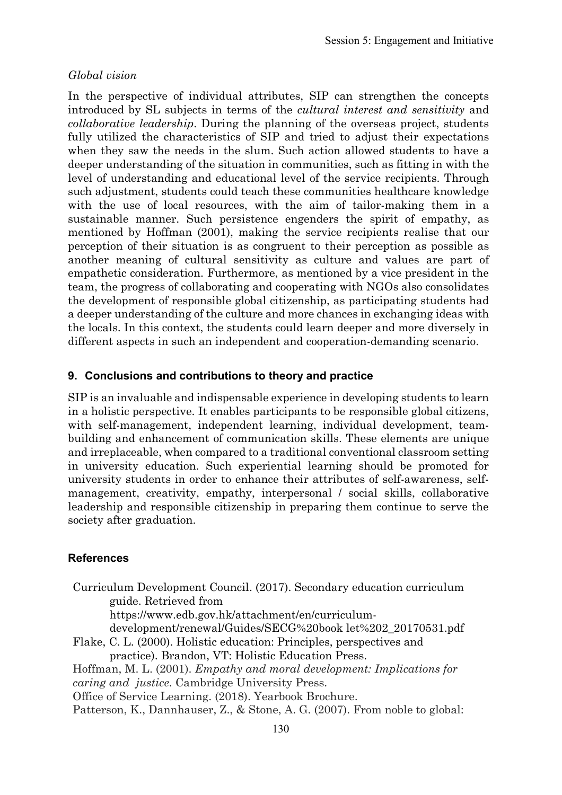#### *Global vision*

In the perspective of individual attributes, SIP can strengthen the concepts introduced by SL subjects in terms of the *cultural interest and sensitivity* and *collaborative leadership*. During the planning of the overseas project, students fully utilized the characteristics of SIP and tried to adjust their expectations when they saw the needs in the slum. Such action allowed students to have a deeper understanding of the situation in communities, such as fitting in with the level of understanding and educational level of the service recipients. Through such adjustment, students could teach these communities healthcare knowledge with the use of local resources, with the aim of tailor-making them in a sustainable manner. Such persistence engenders the spirit of empathy, as mentioned by Hoffman (2001), making the service recipients realise that our perception of their situation is as congruent to their perception as possible as another meaning of cultural sensitivity as culture and values are part of empathetic consideration. Furthermore, as mentioned by a vice president in the team, the progress of collaborating and cooperating with NGOs also consolidates the development of responsible global citizenship, as participating students had a deeper understanding of the culture and more chances in exchanging ideas with the locals. In this context, the students could learn deeper and more diversely in different aspects in such an independent and cooperation-demanding scenario.

#### **9. Conclusions and contributions to theory and practice**

SIP is an invaluable and indispensable experience in developing students to learn in a holistic perspective. It enables participants to be responsible global citizens, with self-management, independent learning, individual development, teambuilding and enhancement of communication skills. These elements are unique and irreplaceable, when compared to a traditional conventional classroom setting in university education. Such experiential learning should be promoted for university students in order to enhance their attributes of self-awareness, selfmanagement, creativity, empathy, interpersonal / social skills, collaborative leadership and responsible citizenship in preparing them continue to serve the society after graduation.

#### **References**

Curriculum Development Council. (2017). Secondary education curriculum guide. Retrieved from

[https://www.edb.gov.hk/attachment/en/curriculum-](http://www.edb.gov.hk/attachment/en/curriculum-development/renewal/Guides/SECG%20book)

[development/renewal/Guides/SECG%20book](http://www.edb.gov.hk/attachment/en/curriculum-development/renewal/Guides/SECG%20book) let%202\_20170531.pdf

Flake, C. L. (2000). Holistic education: Principles, perspectives and practice). Brandon, VT: Holistic Education Press.

Hoffman, M. L. (2001). *Empathy and moral development: Implications for caring and justice*. Cambridge University Press.

Office of Service Learning. (2018). Yearbook Brochure.

Patterson, K., Dannhauser, Z., & Stone, A. G. (2007). From noble to global: